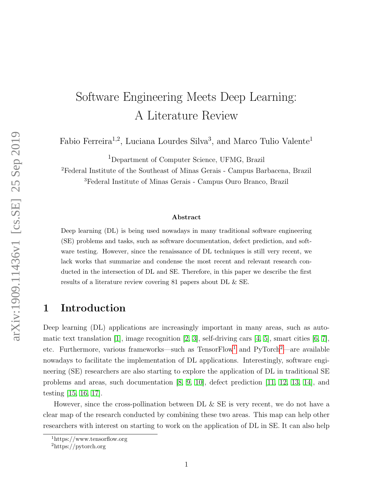# Software Engineering Meets Deep Learning: A Literature Review

Fabio Ferreira<sup>1,2</sup>, Luciana Lourdes Silva<sup>3</sup>, and Marco Tulio Valente<sup>1</sup>

<sup>1</sup>Department of Computer Science, UFMG, Brazil

<sup>2</sup>Federal Institute of the Southeast of Minas Gerais - Campus Barbacena, Brazil <sup>3</sup>Federal Institute of Minas Gerais - Campus Ouro Branco, Brazil

#### Abstract

Deep learning (DL) is being used nowadays in many traditional software engineering (SE) problems and tasks, such as software documentation, defect prediction, and software testing. However, since the renaissance of DL techniques is still very recent, we lack works that summarize and condense the most recent and relevant research conducted in the intersection of DL and SE. Therefore, in this paper we describe the first results of a literature review covering 81 papers about DL & SE.

### 1 Introduction

Deep learning (DL) applications are increasingly important in many areas, such as automatic text translation [\[1\]](#page-11-0), image recognition [\[2,](#page-11-1) [3\]](#page-11-2), self-driving cars [\[4,](#page-11-3) [5\]](#page-11-4), smart cities [\[6,](#page-11-5) [7\]](#page-11-6), etc. Furthermore, various frameworks—such as  $TensorFlow<sup>1</sup>$  $TensorFlow<sup>1</sup>$  $TensorFlow<sup>1</sup>$  and  $PyTorch<sup>2</sup>$  $PyTorch<sup>2</sup>$  $PyTorch<sup>2</sup>$ —are available nowadays to facilitate the implementation of DL applications. Interestingly, software engineering (SE) researchers are also starting to explore the application of DL in traditional SE problems and areas, such documentation [\[8,](#page-11-7) [9,](#page-11-8) [10\]](#page-11-9), defect prediction [\[11,](#page-11-10) [12,](#page-12-0) [13,](#page-12-1) [14\]](#page-12-2), and testing [\[15,](#page-12-3) [16,](#page-12-4) [17\]](#page-12-5).

However, since the cross-pollination between DL & SE is very recent, we do not have a clear map of the research conducted by combining these two areas. This map can help other researchers with interest on starting to work on the application of DL in SE. It can also help

<span id="page-0-0"></span><sup>1</sup>https://www.tensorflow.org

<span id="page-0-1"></span><sup>2</sup>https://pytorch.org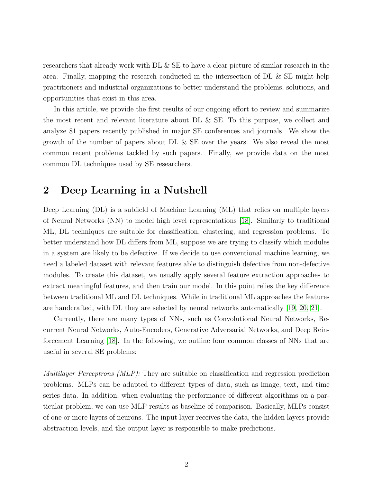researchers that already work with DL & SE to have a clear picture of similar research in the area. Finally, mapping the research conducted in the intersection of DL & SE might help practitioners and industrial organizations to better understand the problems, solutions, and opportunities that exist in this area.

In this article, we provide the first results of our ongoing effort to review and summarize the most recent and relevant literature about DL & SE. To this purpose, we collect and analyze 81 papers recently published in major SE conferences and journals. We show the growth of the number of papers about DL & SE over the years. We also reveal the most common recent problems tackled by such papers. Finally, we provide data on the most common DL techniques used by SE researchers.

# 2 Deep Learning in a Nutshell

Deep Learning (DL) is a subfield of Machine Learning (ML) that relies on multiple layers of Neural Networks (NN) to model high level representations [\[18\]](#page-12-6). Similarly to traditional ML, DL techniques are suitable for classification, clustering, and regression problems. To better understand how DL differs from ML, suppose we are trying to classify which modules in a system are likely to be defective. If we decide to use conventional machine learning, we need a labeled dataset with relevant features able to distinguish defective from non-defective modules. To create this dataset, we usually apply several feature extraction approaches to extract meaningful features, and then train our model. In this point relies the key difference between traditional ML and DL techniques. While in traditional ML approaches the features are handcrafted, with DL they are selected by neural networks automatically [\[19,](#page-12-7) [20,](#page-12-8) [21\]](#page-12-9).

Currently, there are many types of NNs, such as Convolutional Neural Networks, Recurrent Neural Networks, Auto-Encoders, Generative Adversarial Networks, and Deep Reinforcement Learning [\[18\]](#page-12-6). In the following, we outline four common classes of NNs that are useful in several SE problems:

Multilayer Perceptrons (MLP): They are suitable on classification and regression prediction problems. MLPs can be adapted to different types of data, such as image, text, and time series data. In addition, when evaluating the performance of different algorithms on a particular problem, we can use MLP results as baseline of comparison. Basically, MLPs consist of one or more layers of neurons. The input layer receives the data, the hidden layers provide abstraction levels, and the output layer is responsible to make predictions.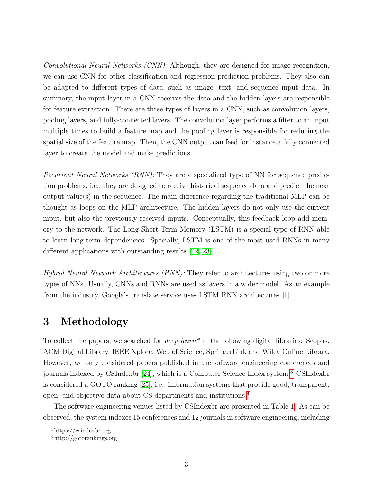Convolutional Neural Networks (CNN): Although, they are designed for image recognition, we can use CNN for other classification and regression prediction problems. They also can be adapted to different types of data, such as image, text, and sequence input data. In summary, the input layer in a CNN receives the data and the hidden layers are responsible for feature extraction. There are three types of layers in a CNN, such as convolution layers, pooling layers, and fully-connected layers. The convolution layer performs a filter to an input multiple times to build a feature map and the pooling layer is responsible for reducing the spatial size of the feature map. Then, the CNN output can feed for instance a fully connected layer to create the model and make predictions.

Recurrent Neural Networks *(RNN)*: They are a specialized type of NN for sequence prediction problems, i.e., they are designed to receive historical sequence data and predict the next output value(s) in the sequence. The main difference regarding the traditional MLP can be thought as loops on the MLP architecture. The hidden layers do not only use the current input, but also the previously received inputs. Conceptually, this feedback loop add memory to the network. The Long Short-Term Memory (LSTM) is a special type of RNN able to learn long-term dependencies. Specially, LSTM is one of the most used RNNs in many different applications with outstanding results [\[22,](#page-12-10) [23\]](#page-12-11).

Hybrid Neural Network Architectures (HNN): They refer to architectures using two or more types of NNs. Usually, CNNs and RNNs are used as layers in a wider model. As an example from the industry, Google's translate service uses LSTM RNN architectures [\[1\]](#page-11-0).

# 3 Methodology

To collect the papers, we searched for *deep learn*<sup>\*</sup> in the following digital libraries: Scopus, ACM Digital Library, IEEE Xplore, Web of Science, SpringerLink and Wiley Online Library. However, we only considered papers published in the software engineering conferences and journals indexed by CSIndexbr [\[24\]](#page-12-12), which is a Computer Science Index system.[3](#page-2-0) CSIndexbr is considered a GOTO ranking [\[25\]](#page-12-13), i.e., information systems that provide good, transparent, open, and objective data about CS departments and institutions.[4](#page-2-1)

The software engineering venues listed by CSIndexbr are presented in Table [1.](#page-3-0) As can be observed, the system indexes 15 conferences and 12 journals in software engineering, including

<span id="page-2-0"></span><sup>3</sup>https://csindexbr.org

<span id="page-2-1"></span><sup>4</sup>http://gotorankings.org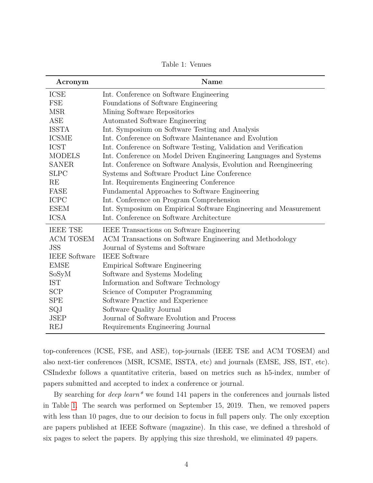Table 1: Venues

<span id="page-3-0"></span>

| Acronym              | Name                                                              |  |  |  |  |
|----------------------|-------------------------------------------------------------------|--|--|--|--|
| <b>ICSE</b>          | Int. Conference on Software Engineering                           |  |  |  |  |
| FSE                  | Foundations of Software Engineering                               |  |  |  |  |
| <b>MSR</b>           | Mining Software Repositories                                      |  |  |  |  |
| <b>ASE</b>           | Automated Software Engineering                                    |  |  |  |  |
| <b>ISSTA</b>         | Int. Symposium on Software Testing and Analysis                   |  |  |  |  |
| <b>ICSME</b>         | Int. Conference on Software Maintenance and Evolution             |  |  |  |  |
| <b>ICST</b>          | Int. Conference on Software Testing, Validation and Verification  |  |  |  |  |
| <b>MODELS</b>        | Int. Conference on Model Driven Engineering Languages and Systems |  |  |  |  |
| <b>SANER</b>         | Int. Conference on Software Analysis, Evolution and Reengineering |  |  |  |  |
| <b>SLPC</b>          | Systems and Software Product Line Conference                      |  |  |  |  |
| RE                   | Int. Requirements Engineering Conference                          |  |  |  |  |
| FASE                 | Fundamental Approaches to Software Engineering                    |  |  |  |  |
| <b>ICPC</b>          | Int. Conference on Program Comprehension                          |  |  |  |  |
| <b>ESEM</b>          | Int. Symposium on Empirical Software Engineering and Measurement  |  |  |  |  |
| <b>ICSA</b>          | Int. Conference on Software Architecture                          |  |  |  |  |
| <b>IEEE TSE</b>      | IEEE Transactions on Software Engineering                         |  |  |  |  |
| <b>ACM TOSEM</b>     | ACM Transactions on Software Engineering and Methodology          |  |  |  |  |
| <b>JSS</b>           | Journal of Systems and Software                                   |  |  |  |  |
| <b>IEEE</b> Software | <b>IEEE</b> Software                                              |  |  |  |  |
| <b>EMSE</b>          | <b>Empirical Software Engineering</b>                             |  |  |  |  |
| SoSyM                | Software and Systems Modeling                                     |  |  |  |  |
| <b>IST</b>           | Information and Software Technology                               |  |  |  |  |
| <b>SCP</b>           | Science of Computer Programming                                   |  |  |  |  |
| <b>SPE</b>           | Software Practice and Experience                                  |  |  |  |  |
| SQJ                  | Software Quality Journal                                          |  |  |  |  |
| <b>JSEP</b>          | Journal of Software Evolution and Process                         |  |  |  |  |
| <b>REJ</b>           | Requirements Engineering Journal                                  |  |  |  |  |

top-conferences (ICSE, FSE, and ASE), top-journals (IEEE TSE and ACM TOSEM) and also next-tier conferences (MSR, ICSME, ISSTA, etc) and journals (EMSE, JSS, IST, etc). CSIndexbr follows a quantitative criteria, based on metrics such as h5-index, number of papers submitted and accepted to index a conference or journal.

By searching for *deep learn*<sup>\*</sup> we found 141 papers in the conferences and journals listed in Table [1.](#page-3-0) The search was performed on September 15, 2019. Then, we removed papers with less than 10 pages, due to our decision to focus in full papers only. The only exception are papers published at IEEE Software (magazine). In this case, we defined a threshold of six pages to select the papers. By applying this size threshold, we eliminated 49 papers.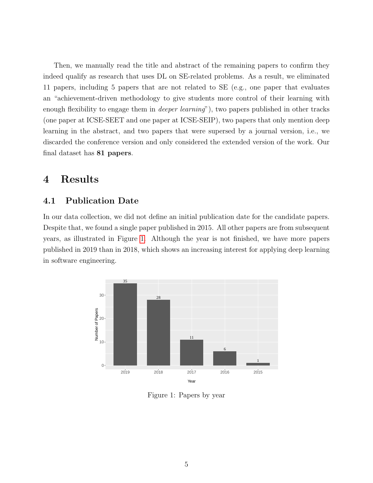Then, we manually read the title and abstract of the remaining papers to confirm they indeed qualify as research that uses DL on SE-related problems. As a result, we eliminated 11 papers, including 5 papers that are not related to SE (e.g., one paper that evaluates an "achievement-driven methodology to give students more control of their learning with enough flexibility to engage them in *deeper learning*"), two papers published in other tracks (one paper at ICSE-SEET and one paper at ICSE-SEIP), two papers that only mention deep learning in the abstract, and two papers that were supersed by a journal version, i.e., we discarded the conference version and only considered the extended version of the work. Our final dataset has 81 papers.

# 4 Results

### 4.1 Publication Date

In our data collection, we did not define an initial publication date for the candidate papers. Despite that, we found a single paper published in 2015. All other papers are from subsequent years, as illustrated in Figure [1.](#page-4-0) Although the year is not finished, we have more papers published in 2019 than in 2018, which shows an increasing interest for applying deep learning in software engineering.

<span id="page-4-0"></span>

Figure 1: Papers by year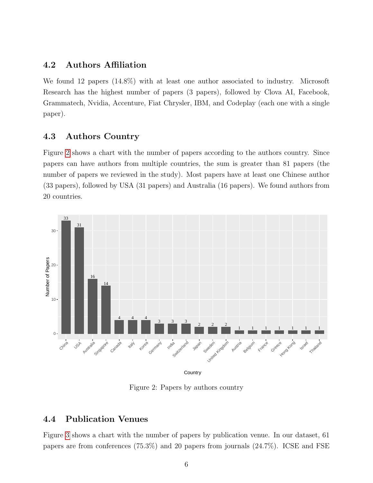### 4.2 Authors Affiliation

We found 12 papers (14.8%) with at least one author associated to industry. Microsoft Research has the highest number of papers (3 papers), followed by Clova AI, Facebook, Grammatech, Nvidia, Accenture, Fiat Chrysler, IBM, and Codeplay (each one with a single paper).

### 4.3 Authors Country

Figure [2](#page-5-0) shows a chart with the number of papers according to the authors country. Since papers can have authors from multiple countries, the sum is greater than 81 papers (the number of papers we reviewed in the study). Most papers have at least one Chinese author (33 papers), followed by USA (31 papers) and Australia (16 papers). We found authors from 20 countries.

<span id="page-5-0"></span>

Figure 2: Papers by authors country

### 4.4 Publication Venues

Figure [3](#page-6-0) shows a chart with the number of papers by publication venue. In our dataset, 61 papers are from conferences (75.3%) and 20 papers from journals (24.7%). ICSE and FSE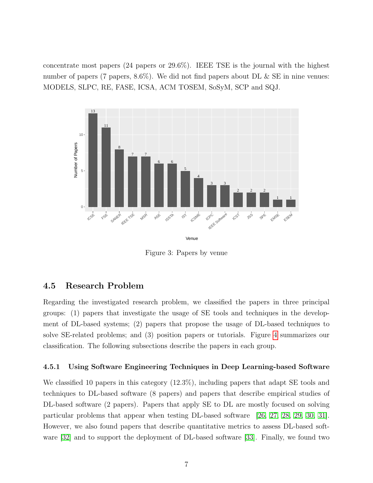concentrate most papers (24 papers or 29.6%). IEEE TSE is the journal with the highest number of papers (7 papers,  $8.6\%$ ). We did not find papers about DL & SE in nine venues: MODELS, SLPC, RE, FASE, ICSA, ACM TOSEM, SoSyM, SCP and SQJ.

<span id="page-6-0"></span>

Figure 3: Papers by venue

#### 4.5 Research Problem

Regarding the investigated research problem, we classified the papers in three principal groups: (1) papers that investigate the usage of SE tools and techniques in the development of DL-based systems; (2) papers that propose the usage of DL-based techniques to solve SE-related problems; and (3) position papers or tutorials. Figure [4](#page-7-0) summarizes our classification. The following subsections describe the papers in each group.

#### 4.5.1 Using Software Engineering Techniques in Deep Learning-based Software

We classified 10 papers in this category  $(12.3\%)$ , including papers that adapt SE tools and techniques to DL-based software (8 papers) and papers that describe empirical studies of DL-based software (2 papers). Papers that apply SE to DL are mostly focused on solving particular problems that appear when testing DL-based software [\[26,](#page-12-14) [27,](#page-13-0) [28,](#page-13-1) [29,](#page-13-2) [30,](#page-13-3) [31\]](#page-13-4). However, we also found papers that describe quantitative metrics to assess DL-based software [\[32\]](#page-13-5) and to support the deployment of DL-based software [\[33\]](#page-13-6). Finally, we found two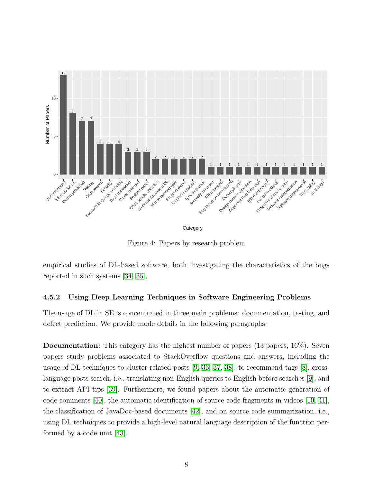<span id="page-7-0"></span>

Figure 4: Papers by research problem

empirical studies of DL-based software, both investigating the characteristics of the bugs reported in such systems [\[34,](#page-13-7) [35\]](#page-13-8),

#### 4.5.2 Using Deep Learning Techniques in Software Engineering Problems

The usage of DL in SE is concentrated in three main problems: documentation, testing, and defect prediction. We provide mode details in the following paragraphs:

Documentation: This category has the highest number of papers (13 papers, 16%). Seven papers study problems associated to StackOverflow questions and answers, including the usage of DL techniques to cluster related posts [\[9,](#page-11-8) [36,](#page-13-9) [37,](#page-13-10) [38\]](#page-13-11), to recommend tags [\[8\]](#page-11-7), crosslanguage posts search, i.e., translating non-English queries to English before searches [\[9\]](#page-11-8), and to extract API tips [\[39\]](#page-13-12). Furthermore, we found papers about the automatic generation of code comments [\[40\]](#page-13-13), the automatic identification of source code fragments in videos [\[10,](#page-11-9) [41\]](#page-14-0), the classification of JavaDoc-based documents [\[42\]](#page-14-1), and on source code summarization, i.e., using DL techniques to provide a high-level natural language description of the function performed by a code unit [\[43\]](#page-14-2).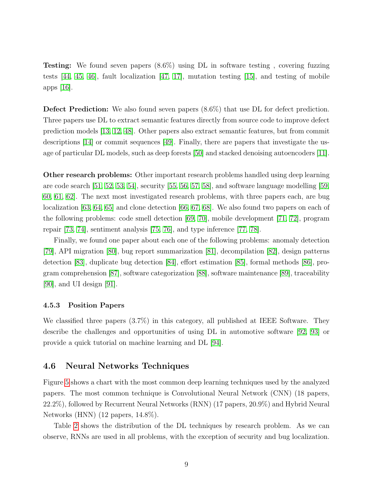Testing: We found seven papers (8.6%) using DL in software testing , covering fuzzing tests  $[44, 45, 46]$  $[44, 45, 46]$  $[44, 45, 46]$ , fault localization  $[47, 17]$  $[47, 17]$ , mutation testing  $[15]$ , and testing of mobile apps [\[16\]](#page-12-4).

Defect Prediction: We also found seven papers (8.6%) that use DL for defect prediction. Three papers use DL to extract semantic features directly from source code to improve defect prediction models [\[13,](#page-12-1) [12,](#page-12-0) [48\]](#page-14-7). Other papers also extract semantic features, but from commit descriptions [\[14\]](#page-12-2) or commit sequences [\[49\]](#page-14-8). Finally, there are papers that investigate the usage of particular DL models, such as deep forests [\[50\]](#page-14-9) and stacked denoising autoencoders [\[11\]](#page-11-10).

Other research problems: Other important research problems handled using deep learning are code search [\[51,](#page-14-10) [52,](#page-14-11) [53,](#page-14-12) [54\]](#page-14-13), security [\[55,](#page-14-14) [56,](#page-15-0) [57,](#page-15-1) [58\]](#page-15-2), and software language modelling [\[59,](#page-15-3) [60,](#page-15-4) [61,](#page-15-5) [62\]](#page-15-6). The next most investigated research problems, with three papers each, are bug localization [\[63,](#page-15-7) [64,](#page-15-8) [65\]](#page-15-9) and clone detection [\[66,](#page-15-10) [67,](#page-15-11) [68\]](#page-15-12). We also found two papers on each of the following problems: code smell detection [\[69,](#page-15-13) [70\]](#page-15-14), mobile development [\[71,](#page-16-0) [72\]](#page-16-1), program repair [\[73,](#page-16-2) [74\]](#page-16-3), sentiment analysis [\[75,](#page-16-4) [76\]](#page-16-5), and type inference [\[77,](#page-16-6) [78\]](#page-16-7).

Finally, we found one paper about each one of the following problems: anomaly detection [\[79\]](#page-16-8), API migration [\[80\]](#page-16-9), bug report summarization [\[81\]](#page-16-10), decompilation [\[82\]](#page-16-11), design patterns detection [\[83\]](#page-16-12), duplicate bug detection [\[84\]](#page-17-0), effort estimation [\[85\]](#page-17-1), formal methods [\[86\]](#page-17-2), program comprehension [\[87\]](#page-17-3), software categorization [\[88\]](#page-17-4), software maintenance [\[89\]](#page-17-5), traceability [\[90\]](#page-17-6), and UI design [\[91\]](#page-17-7).

#### 4.5.3 Position Papers

We classified three papers (3.7%) in this category, all published at IEEE Software. They describe the challenges and opportunities of using DL in automotive software [\[92,](#page-17-8) [93\]](#page-17-9) or provide a quick tutorial on machine learning and DL [\[94\]](#page-17-10).

#### 4.6 Neural Networks Techniques

Figure [5](#page-9-0) shows a chart with the most common deep learning techniques used by the analyzed papers. The most common technique is Convolutional Neural Network (CNN) (18 papers, 22.2%), followed by Recurrent Neural Networks (RNN) (17 papers, 20.9%) and Hybrid Neural Networks (HNN) (12 papers, 14.8%).

Table [2](#page-9-1) shows the distribution of the DL techniques by research problem. As we can observe, RNNs are used in all problems, with the exception of security and bug localization.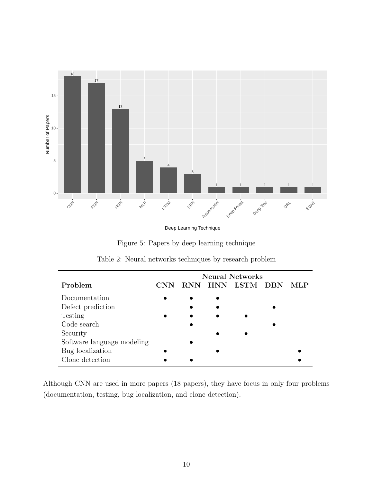<span id="page-9-0"></span>

Deep Learning Technique

|  |  |  | Figure 5: Papers by deep learning technique |
|--|--|--|---------------------------------------------|

<span id="page-9-1"></span>

|                            | <b>Neural Networks</b> |            |     |      |            |  |
|----------------------------|------------------------|------------|-----|------|------------|--|
| Problem                    | CNN                    | <b>RNN</b> | HNN | LSTM | <b>DBN</b> |  |
| Documentation              |                        |            |     |      |            |  |
| Defect prediction          |                        |            |     |      |            |  |
| Testing                    |                        |            |     |      |            |  |
| Code search                |                        |            |     |      |            |  |
| Security                   |                        |            |     |      |            |  |
| Software language modeling |                        |            |     |      |            |  |
| Bug localization           |                        |            |     |      |            |  |
| Clone detection            |                        |            |     |      |            |  |

|  |  |  | Table 2: Neural networks techniques by research problem |  |  |  |
|--|--|--|---------------------------------------------------------|--|--|--|
|--|--|--|---------------------------------------------------------|--|--|--|

Although CNN are used in more papers (18 papers), they have focus in only four problems (documentation, testing, bug localization, and clone detection).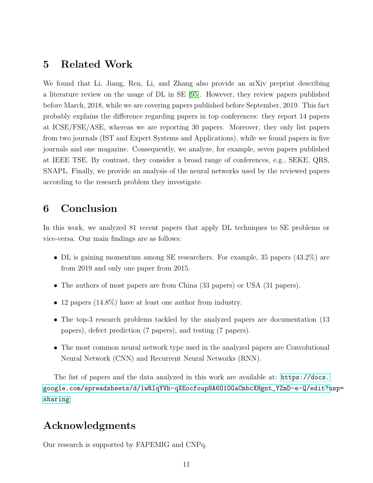### 5 Related Work

We found that Li, Jiang, Ren, Li, and Zhang also provide an arXiv preprint describing a literature review on the usage of DL in SE [\[95\]](#page-17-11). However, they review papers published before March, 2018, while we are covering papers published before September, 2019. This fact probably explains the difference regarding papers in top conferences: they report 14 papers at ICSE/FSE/ASE, whereas we are reporting 30 papers. Moreover, they only list papers from two journals (IST and Expert Systems and Applications), while we found papers in five journals and one magazine. Consequently, we analyze, for example, seven papers published at IEEE TSE. By contrast, they consider a broad range of conferences, e.g., SEKE, QRS, SNAPL. Finally, we provide an analysis of the neural networks used by the reviewed papers according to the research problem they investigate.

# 6 Conclusion

In this work, we analyzed 81 recent papers that apply DL techniques to SE problems or vice-versa. Our main findings are as follows:

- DL is gaining momentum among SE researchers. For example, 35 papers (43.2%) are from 2019 and only one paper from 2015.
- The authors of most papers are from China (33 papers) or USA (31 papers).
- 12 papers (14.8%) have at least one author from industry.
- The top-3 research problems tackled by the analyzed papers are documentation (13) papers), defect prediction (7 papers), and testing (7 papers).
- The most common neural network type used in the analyzed papers are Convolutional Neural Network (CNN) and Recurrent Neural Networks (RNN).

The list of papers and the data analyzed in this work are available at: [https://docs.](https://docs.google.com/spreadsheets/d/1wRIqYVh-qXEocfoup8A6O1OGaCmbcXHgnt_YZmD-e-Q/edit?usp=sharing) [google.com/spreadsheets/d/1wRIqYVh-qXEocfoup8A6O1OGaCmbcXHgnt\\_YZmD-e-Q/edit?u](https://docs.google.com/spreadsheets/d/1wRIqYVh-qXEocfoup8A6O1OGaCmbcXHgnt_YZmD-e-Q/edit?usp=sharing)sp= [sharing](https://docs.google.com/spreadsheets/d/1wRIqYVh-qXEocfoup8A6O1OGaCmbcXHgnt_YZmD-e-Q/edit?usp=sharing)

# Acknowledgments

Our research is supported by FAPEMIG and CNPq.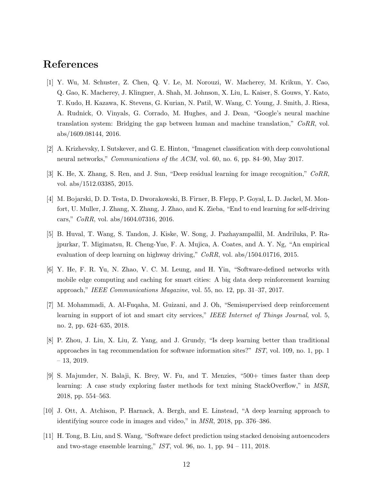# References

- <span id="page-11-0"></span>[1] Y. Wu, M. Schuster, Z. Chen, Q. V. Le, M. Norouzi, W. Macherey, M. Krikun, Y. Cao, Q. Gao, K. Macherey, J. Klingner, A. Shah, M. Johnson, X. Liu, L. Kaiser, S. Gouws, Y. Kato, T. Kudo, H. Kazawa, K. Stevens, G. Kurian, N. Patil, W. Wang, C. Young, J. Smith, J. Riesa, A. Rudnick, O. Vinyals, G. Corrado, M. Hughes, and J. Dean, "Google's neural machine translation system: Bridging the gap between human and machine translation," CoRR, vol. abs/1609.08144, 2016.
- <span id="page-11-1"></span>[2] A. Krizhevsky, I. Sutskever, and G. E. Hinton, "Imagenet classification with deep convolutional neural networks," *Communications of the ACM*, vol. 60, no. 6, pp. 84–90, May 2017.
- <span id="page-11-2"></span>[3] K. He, X. Zhang, S. Ren, and J. Sun, "Deep residual learning for image recognition," CoRR, vol. abs/1512.03385, 2015.
- <span id="page-11-3"></span>[4] M. Bojarski, D. D. Testa, D. Dworakowski, B. Firner, B. Flepp, P. Goyal, L. D. Jackel, M. Monfort, U. Muller, J. Zhang, X. Zhang, J. Zhao, and K. Zieba, "End to end learning for self-driving cars," CoRR, vol. abs/1604.07316, 2016.
- <span id="page-11-4"></span>[5] B. Huval, T. Wang, S. Tandon, J. Kiske, W. Song, J. Pazhayampallil, M. Andriluka, P. Rajpurkar, T. Migimatsu, R. Cheng-Yue, F. A. Mujica, A. Coates, and A. Y. Ng, "An empirical evaluation of deep learning on highway driving," CoRR, vol. abs/1504.01716, 2015.
- <span id="page-11-5"></span>[6] Y. He, F. R. Yu, N. Zhao, V. C. M. Leung, and H. Yin, "Software-defined networks with mobile edge computing and caching for smart cities: A big data deep reinforcement learning approach," IEEE Communications Magazine, vol. 55, no. 12, pp. 31–37, 2017.
- <span id="page-11-6"></span>[7] M. Mohammadi, A. Al-Fuqaha, M. Guizani, and J. Oh, "Semisupervised deep reinforcement learning in support of iot and smart city services," IEEE Internet of Things Journal, vol. 5, no. 2, pp. 624–635, 2018.
- <span id="page-11-7"></span>[8] P. Zhou, J. Liu, X. Liu, Z. Yang, and J. Grundy, "Is deep learning better than traditional approaches in tag recommendation for software information sites?" IST, vol. 109, no. 1, pp. 1 – 13, 2019.
- <span id="page-11-8"></span>[9] S. Majumder, N. Balaji, K. Brey, W. Fu, and T. Menzies, "500+ times faster than deep learning: A case study exploring faster methods for text mining StackOverflow," in MSR, 2018, pp. 554–563.
- <span id="page-11-9"></span>[10] J. Ott, A. Atchison, P. Harnack, A. Bergh, and E. Linstead, "A deep learning approach to identifying source code in images and video," in MSR, 2018, pp. 376–386.
- <span id="page-11-10"></span>[11] H. Tong, B. Liu, and S. Wang, "Software defect prediction using stacked denoising autoencoders and two-stage ensemble learning," IST, vol. 96, no. 1, pp.  $94 - 111$ , 2018.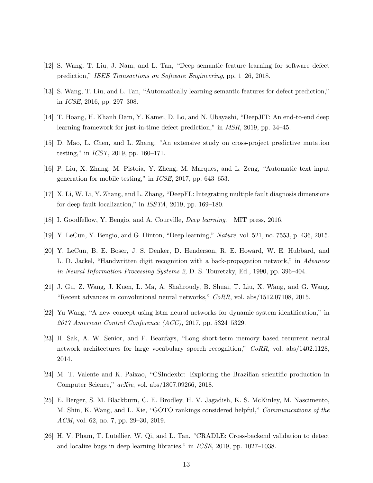- <span id="page-12-0"></span>[12] S. Wang, T. Liu, J. Nam, and L. Tan, "Deep semantic feature learning for software defect prediction," IEEE Transactions on Software Engineering, pp. 1–26, 2018.
- <span id="page-12-1"></span>[13] S. Wang, T. Liu, and L. Tan, "Automatically learning semantic features for defect prediction," in ICSE, 2016, pp. 297–308.
- <span id="page-12-2"></span>[14] T. Hoang, H. Khanh Dam, Y. Kamei, D. Lo, and N. Ubayashi, "DeepJIT: An end-to-end deep learning framework for just-in-time defect prediction," in MSR, 2019, pp. 34–45.
- <span id="page-12-3"></span>[15] D. Mao, L. Chen, and L. Zhang, "An extensive study on cross-project predictive mutation testing," in ICST, 2019, pp. 160–171.
- <span id="page-12-4"></span>[16] P. Liu, X. Zhang, M. Pistoia, Y. Zheng, M. Marques, and L. Zeng, "Automatic text input generation for mobile testing," in ICSE, 2017, pp. 643–653.
- <span id="page-12-5"></span>[17] X. Li, W. Li, Y. Zhang, and L. Zhang, "DeepFL: Integrating multiple fault diagnosis dimensions for deep fault localization," in ISSTA, 2019, pp. 169–180.
- <span id="page-12-6"></span>[18] I. Goodfellow, Y. Bengio, and A. Courville, Deep learning. MIT press, 2016.
- <span id="page-12-7"></span>[19] Y. LeCun, Y. Bengio, and G. Hinton, "Deep learning," Nature, vol. 521, no. 7553, p. 436, 2015.
- <span id="page-12-8"></span>[20] Y. LeCun, B. E. Boser, J. S. Denker, D. Henderson, R. E. Howard, W. E. Hubbard, and L. D. Jackel, "Handwritten digit recognition with a back-propagation network," in Advances in Neural Information Processing Systems 2, D. S. Touretzky, Ed., 1990, pp. 396–404.
- <span id="page-12-9"></span>[21] J. Gu, Z. Wang, J. Kuen, L. Ma, A. Shahroudy, B. Shuai, T. Liu, X. Wang, and G. Wang, "Recent advances in convolutional neural networks," CoRR, vol. abs/1512.07108, 2015.
- <span id="page-12-10"></span>[22] Yu Wang, "A new concept using lstm neural networks for dynamic system identification," in  $2017$  American Control Conference (ACC), 2017, pp. 5324–5329.
- <span id="page-12-11"></span>[23] H. Sak, A. W. Senior, and F. Beaufays, "Long short-term memory based recurrent neural network architectures for large vocabulary speech recognition," CoRR, vol. abs/1402.1128, 2014.
- <span id="page-12-12"></span>[24] M. T. Valente and K. Paixao, "CSIndexbr: Exploring the Brazilian scientific production in Computer Science," arXiv, vol. abs/1807.09266, 2018.
- <span id="page-12-13"></span>[25] E. Berger, S. M. Blackburn, C. E. Brodley, H. V. Jagadish, K. S. McKinley, M. Nascimento, M. Shin, K. Wang, and L. Xie, "GOTO rankings considered helpful," Communications of the ACM, vol. 62, no. 7, pp. 29–30, 2019.
- <span id="page-12-14"></span>[26] H. V. Pham, T. Lutellier, W. Qi, and L. Tan, "CRADLE: Cross-backend validation to detect and localize bugs in deep learning libraries," in ICSE, 2019, pp. 1027–1038.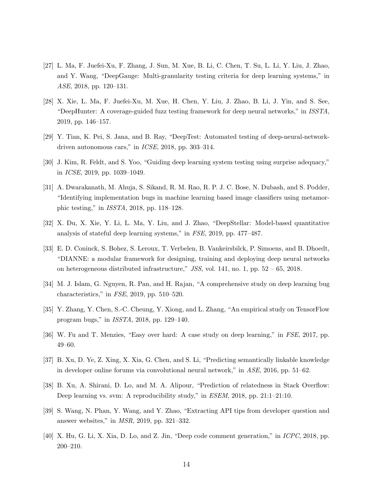- <span id="page-13-0"></span>[27] L. Ma, F. Juefei-Xu, F. Zhang, J. Sun, M. Xue, B. Li, C. Chen, T. Su, L. Li, Y. Liu, J. Zhao, and Y. Wang, "DeepGauge: Multi-granularity testing criteria for deep learning systems," in ASE, 2018, pp. 120–131.
- <span id="page-13-1"></span>[28] X. Xie, L. Ma, F. Juefei-Xu, M. Xue, H. Chen, Y. Liu, J. Zhao, B. Li, J. Yin, and S. See, "DeepHunter: A coverage-guided fuzz testing framework for deep neural networks," in ISSTA, 2019, pp. 146–157.
- <span id="page-13-2"></span>[29] Y. Tian, K. Pei, S. Jana, and B. Ray, "DeepTest: Automated testing of deep-neural-networkdriven autonomous cars," in ICSE, 2018, pp. 303–314.
- <span id="page-13-3"></span>[30] J. Kim, R. Feldt, and S. Yoo, "Guiding deep learning system testing using surprise adequacy," in ICSE, 2019, pp. 1039–1049.
- <span id="page-13-4"></span>[31] A. Dwarakanath, M. Ahuja, S. Sikand, R. M. Rao, R. P. J. C. Bose, N. Dubash, and S. Podder, "Identifying implementation bugs in machine learning based image classifiers using metamorphic testing," in ISSTA, 2018, pp. 118–128.
- <span id="page-13-5"></span>[32] X. Du, X. Xie, Y. Li, L. Ma, Y. Liu, and J. Zhao, "DeepStellar: Model-based quantitative analysis of stateful deep learning systems," in FSE, 2019, pp. 477–487.
- <span id="page-13-6"></span>[33] E. D. Coninck, S. Bohez, S. Leroux, T. Verbelen, B. Vankeirsbilck, P. Simoens, and B. Dhoedt, "DIANNE: a modular framework for designing, training and deploying deep neural networks on heterogeneous distributed infrastructure," JSS, vol. 141, no. 1, pp.  $52 - 65$ , 2018.
- <span id="page-13-7"></span>[34] M. J. Islam, G. Nguyen, R. Pan, and H. Rajan, "A comprehensive study on deep learning bug characteristics," in FSE, 2019, pp. 510–520.
- <span id="page-13-8"></span>[35] Y. Zhang, Y. Chen, S.-C. Cheung, Y. Xiong, and L. Zhang, "An empirical study on TensorFlow program bugs," in ISSTA, 2018, pp. 129–140.
- <span id="page-13-9"></span>[36] W. Fu and T. Menzies, "Easy over hard: A case study on deep learning," in FSE, 2017, pp. 49–60.
- <span id="page-13-10"></span>[37] B. Xu, D. Ye, Z. Xing, X. Xia, G. Chen, and S. Li, "Predicting semantically linkable knowledge in developer online forums via convolutional neural network," in ASE, 2016, pp. 51–62.
- <span id="page-13-11"></span>[38] B. Xu, A. Shirani, D. Lo, and M. A. Alipour, "Prediction of relatedness in Stack Overflow: Deep learning vs. svm: A reproducibility study," in ESEM, 2018, pp. 21:1–21:10.
- <span id="page-13-12"></span>[39] S. Wang, N. Phan, Y. Wang, and Y. Zhao, "Extracting API tips from developer question and answer websites," in MSR, 2019, pp. 321–332.
- <span id="page-13-13"></span>[40] X. Hu, G. Li, X. Xia, D. Lo, and Z. Jin, "Deep code comment generation," in ICPC, 2018, pp. 200–210.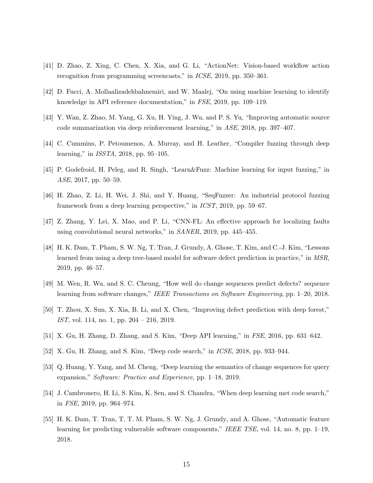- <span id="page-14-0"></span>[41] D. Zhao, Z. Xing, C. Chen, X. Xia, and G. Li, "ActionNet: Vision-based workflow action recognition from programming screencasts," in ICSE, 2019, pp. 350–361.
- <span id="page-14-1"></span>[42] D. Fucci, A. Mollaalizadehbahnemiri, and W. Maalej, "On using machine learning to identify knowledge in API reference documentation," in FSE, 2019, pp. 109–119.
- <span id="page-14-2"></span>[43] Y. Wan, Z. Zhao, M. Yang, G. Xu, H. Ying, J. Wu, and P. S. Yu, "Improving automatic source code summarization via deep reinforcement learning," in ASE, 2018, pp. 397–407.
- <span id="page-14-3"></span>[44] C. Cummins, P. Petoumenos, A. Murray, and H. Leather, "Compiler fuzzing through deep learning," in ISSTA, 2018, pp. 95–105.
- <span id="page-14-4"></span>[45] P. Godefroid, H. Peleg, and R. Singh, "Learn&Fuzz: Machine learning for input fuzzing," in ASE, 2017, pp. 50–59.
- <span id="page-14-5"></span>[46] H. Zhao, Z. Li, H. Wei, J. Shi, and Y. Huang, "SeqFuzzer: An industrial protocol fuzzing framework from a deep learning perspective," in ICST, 2019, pp. 59–67.
- <span id="page-14-6"></span>[47] Z. Zhang, Y. Lei, X. Mao, and P. Li, "CNN-FL: An effective approach for localizing faults using convolutional neural networks," in SANER, 2019, pp. 445–455.
- <span id="page-14-7"></span>[48] H. K. Dam, T. Pham, S. W. Ng, T. Tran, J. Grundy, A. Ghose, T. Kim, and C.-J. Kim, "Lessons learned from using a deep tree-based model for software defect prediction in practice," in MSR, 2019, pp. 46–57.
- <span id="page-14-8"></span>[49] M. Wen, R. Wu, and S. C. Cheung, "How well do change sequences predict defects? sequence learning from software changes," IEEE Transactions on Software Engineering, pp. 1–20, 2018.
- <span id="page-14-9"></span>[50] T. Zhou, X. Sun, X. Xia, B. Li, and X. Chen, "Improving defect prediction with deep forest," IST, vol. 114, no. 1, pp. 204 – 216, 2019.
- <span id="page-14-10"></span>[51] X. Gu, H. Zhang, D. Zhang, and S. Kim, "Deep API learning," in FSE, 2016, pp. 631–642.
- <span id="page-14-11"></span>[52] X. Gu, H. Zhang, and S. Kim, "Deep code search," in ICSE, 2018, pp. 933–944.
- <span id="page-14-12"></span>[53] Q. Huang, Y. Yang, and M. Cheng, "Deep learning the semantics of change sequences for query expansion," Software: Practice and Experience, pp. 1–18, 2019.
- <span id="page-14-13"></span>[54] J. Cambronero, H. Li, S. Kim, K. Sen, and S. Chandra, "When deep learning met code search," in FSE, 2019, pp. 964–974.
- <span id="page-14-14"></span>[55] H. K. Dam, T. Tran, T. T. M. Pham, S. W. Ng, J. Grundy, and A. Ghose, "Automatic feature learning for predicting vulnerable software components," IEEE TSE, vol. 14, no. 8, pp. 1–19, 2018.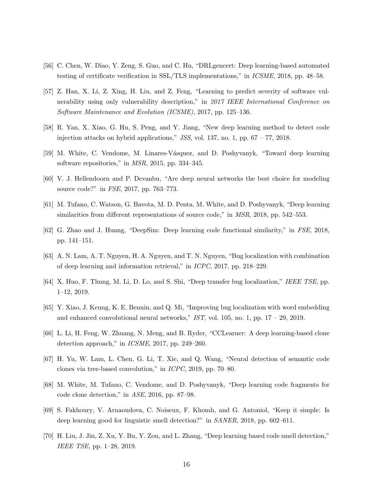- <span id="page-15-0"></span>[56] C. Chen, W. Diao, Y. Zeng, S. Guo, and C. Hu, "DRLgencert: Deep learning-based automated testing of certificate verification in SSL/TLS implementations," in ICSME, 2018, pp. 48–58.
- <span id="page-15-1"></span>[57] Z. Han, X. Li, Z. Xing, H. Liu, and Z. Feng, "Learning to predict severity of software vulnerability using only vulnerability description," in 2017 IEEE International Conference on Software Maintenance and Evolution (ICSME), 2017, pp. 125–136.
- <span id="page-15-2"></span>[58] R. Yan, X. Xiao, G. Hu, S. Peng, and Y. Jiang, "New deep learning method to detect code injection attacks on hybrid applications,"  $JSS$ , vol. 137, no. 1, pp.  $67 - 77$ , 2018.
- <span id="page-15-3"></span>[59] M. White, C. Vendome, M. Linares-V´asquez, and D. Poshyvanyk, "Toward deep learning software repositories," in MSR, 2015, pp. 334–345.
- <span id="page-15-4"></span>[60] V. J. Hellendoorn and P. Devanbu, "Are deep neural networks the best choice for modeling source code?" in FSE, 2017, pp. 763–773.
- <span id="page-15-5"></span>[61] M. Tufano, C. Watson, G. Bavota, M. D. Penta, M. White, and D. Poshyvanyk, "Deep learning similarities from different representations of source code," in MSR, 2018, pp. 542–553.
- <span id="page-15-6"></span>[62] G. Zhao and J. Huang, "DeepSim: Deep learning code functional similarity," in FSE, 2018, pp. 141–151.
- <span id="page-15-7"></span>[63] A. N. Lam, A. T. Nguyen, H. A. Nguyen, and T. N. Nguyen, "Bug localization with combination of deep learning and information retrieval," in ICPC, 2017, pp. 218–229.
- <span id="page-15-8"></span>[64] X. Huo, F. Thung, M. Li, D. Lo, and S. Shi, "Deep transfer bug localization," IEEE TSE, pp. 1–12, 2019.
- <span id="page-15-9"></span>[65] Y. Xiao, J. Keung, K. E. Bennin, and Q. Mi, "Improving bug localization with word embedding and enhanced convolutional neural networks,"  $IST$ , vol. 105, no. 1, pp.  $17 - 29$ , 2019.
- <span id="page-15-10"></span>[66] L. Li, H. Feng, W. Zhuang, N. Meng, and B. Ryder, "CCLearner: A deep learning-based clone detection approach," in ICSME, 2017, pp. 249–260.
- <span id="page-15-11"></span>[67] H. Yu, W. Lam, L. Chen, G. Li, T. Xie, and Q. Wang, "Neural detection of semantic code clones via tree-based convolution," in ICPC, 2019, pp. 70–80.
- <span id="page-15-12"></span>[68] M. White, M. Tufano, C. Vendome, and D. Poshyvanyk, "Deep learning code fragments for code clone detection," in ASE, 2016, pp. 87–98.
- <span id="page-15-13"></span>[69] S. Fakhoury, V. Arnaoudova, C. Noiseux, F. Khomh, and G. Antoniol, "Keep it simple: Is deep learning good for linguistic smell detection?" in SANER, 2018, pp. 602–611.
- <span id="page-15-14"></span>[70] H. Liu, J. Jin, Z. Xu, Y. Bu, Y. Zou, and L. Zhang, "Deep learning based code smell detection," IEEE TSE, pp. 1–28, 2019.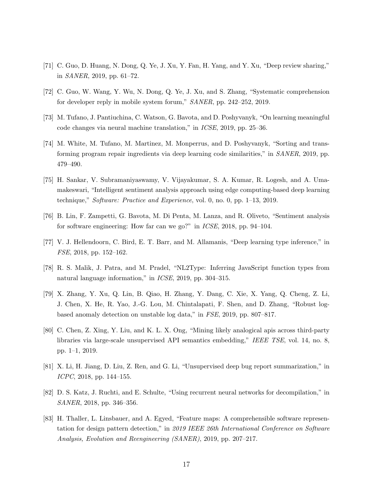- <span id="page-16-0"></span>[71] C. Guo, D. Huang, N. Dong, Q. Ye, J. Xu, Y. Fan, H. Yang, and Y. Xu, "Deep review sharing," in SANER, 2019, pp. 61–72.
- <span id="page-16-1"></span>[72] C. Guo, W. Wang, Y. Wu, N. Dong, Q. Ye, J. Xu, and S. Zhang, "Systematic comprehension for developer reply in mobile system forum," SANER, pp. 242–252, 2019.
- <span id="page-16-2"></span>[73] M. Tufano, J. Pantiuchina, C. Watson, G. Bavota, and D. Poshyvanyk, "On learning meaningful code changes via neural machine translation," in ICSE, 2019, pp. 25–36.
- <span id="page-16-3"></span>[74] M. White, M. Tufano, M. Martinez, M. Monperrus, and D. Poshyvanyk, "Sorting and transforming program repair ingredients via deep learning code similarities," in SANER, 2019, pp. 479–490.
- <span id="page-16-4"></span>[75] H. Sankar, V. Subramaniyaswamy, V. Vijayakumar, S. A. Kumar, R. Logesh, and A. Umamakeswari, "Intelligent sentiment analysis approach using edge computing-based deep learning technique," Software: Practice and Experience, vol. 0, no. 0, pp. 1–13, 2019.
- <span id="page-16-5"></span>[76] B. Lin, F. Zampetti, G. Bavota, M. Di Penta, M. Lanza, and R. Oliveto, "Sentiment analysis for software engineering: How far can we go?" in ICSE, 2018, pp. 94–104.
- <span id="page-16-6"></span>[77] V. J. Hellendoorn, C. Bird, E. T. Barr, and M. Allamanis, "Deep learning type inference," in FSE, 2018, pp. 152–162.
- <span id="page-16-7"></span>[78] R. S. Malik, J. Patra, and M. Pradel, "NL2Type: Inferring JavaScript function types from natural language information," in ICSE, 2019, pp. 304–315.
- <span id="page-16-8"></span>[79] X. Zhang, Y. Xu, Q. Lin, B. Qiao, H. Zhang, Y. Dang, C. Xie, X. Yang, Q. Cheng, Z. Li, J. Chen, X. He, R. Yao, J.-G. Lou, M. Chintalapati, F. Shen, and D. Zhang, "Robust logbased anomaly detection on unstable log data," in FSE, 2019, pp. 807–817.
- <span id="page-16-9"></span>[80] C. Chen, Z. Xing, Y. Liu, and K. L. X. Ong, "Mining likely analogical apis across third-party libraries via large-scale unsupervised API semantics embedding," IEEE TSE, vol. 14, no. 8, pp. 1–1, 2019.
- <span id="page-16-10"></span>[81] X. Li, H. Jiang, D. Liu, Z. Ren, and G. Li, "Unsupervised deep bug report summarization," in ICPC, 2018, pp. 144–155.
- <span id="page-16-11"></span>[82] D. S. Katz, J. Ruchti, and E. Schulte, "Using recurrent neural networks for decompilation," in SANER, 2018, pp. 346–356.
- <span id="page-16-12"></span>[83] H. Thaller, L. Linsbauer, and A. Egyed, "Feature maps: A comprehensible software representation for design pattern detection," in 2019 IEEE 26th International Conference on Software Analysis, Evolution and Reengineering (SANER), 2019, pp. 207–217.